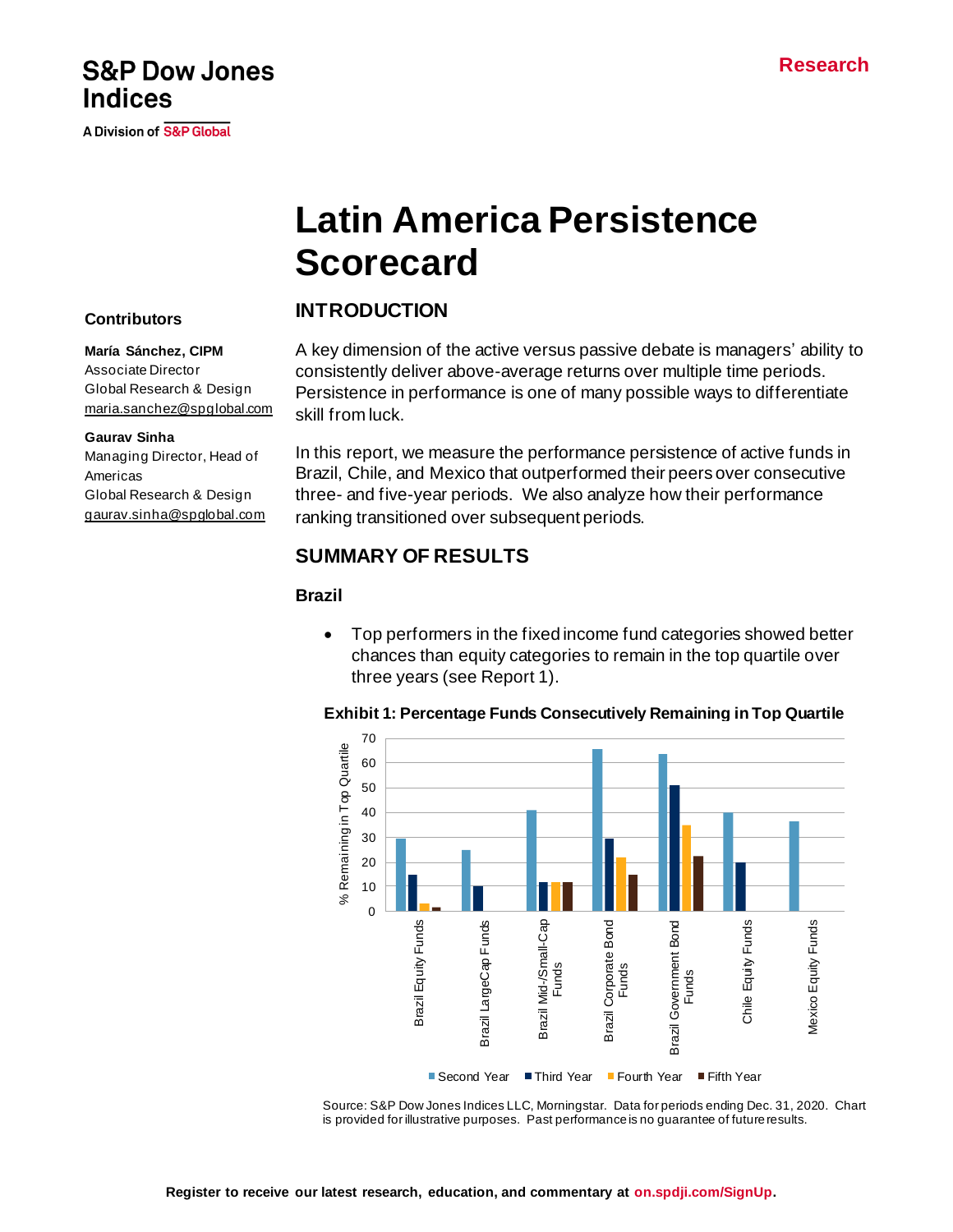## **S&P Dow Jones Indices**

A Division of S&P Global

# **Latin America Persistence Scorecard**

## **INTRODUCTION**

A key dimension of the active versus passive debate is managers' ability to consistently deliver above-average returns over multiple time periods. Persistence in performance is one of many possible ways to differentiate skill from luck.

In this report, we measure the performance persistence of active funds in Brazil, Chile, and Mexico that outperformed their peers over consecutive three- and five-year periods. We also analyze how their performance ranking transitioned over subsequent periods.

## **SUMMARY OF RESULTS**

### **Brazil**

• Top performers in the fixed income fund categories showed better chances than equity categories to remain in the top quartile over three years (see Report 1).



**Exhibit 1: Percentage Funds Consecutively Remaining in Top Quartile**

Source: S&P Dow Jones Indices LLC, Morningstar. Data for periods ending Dec. 31, 2020. Chart is provided for illustrative purposes. Past performance is no guarantee of future results.

## **Contributors**

#### **María Sánchez, CIPM**

Associate Director Global Research & Design [maria.sanchez@spglobal.com](mailto:maria.sanchez@spglobal.com)

#### **Gaurav Sinha**

Managing Director, Head of Americas Global Research & Design [gaurav.sinha@spglobal.com](mailto:gaurav.sinha@spglobal.com)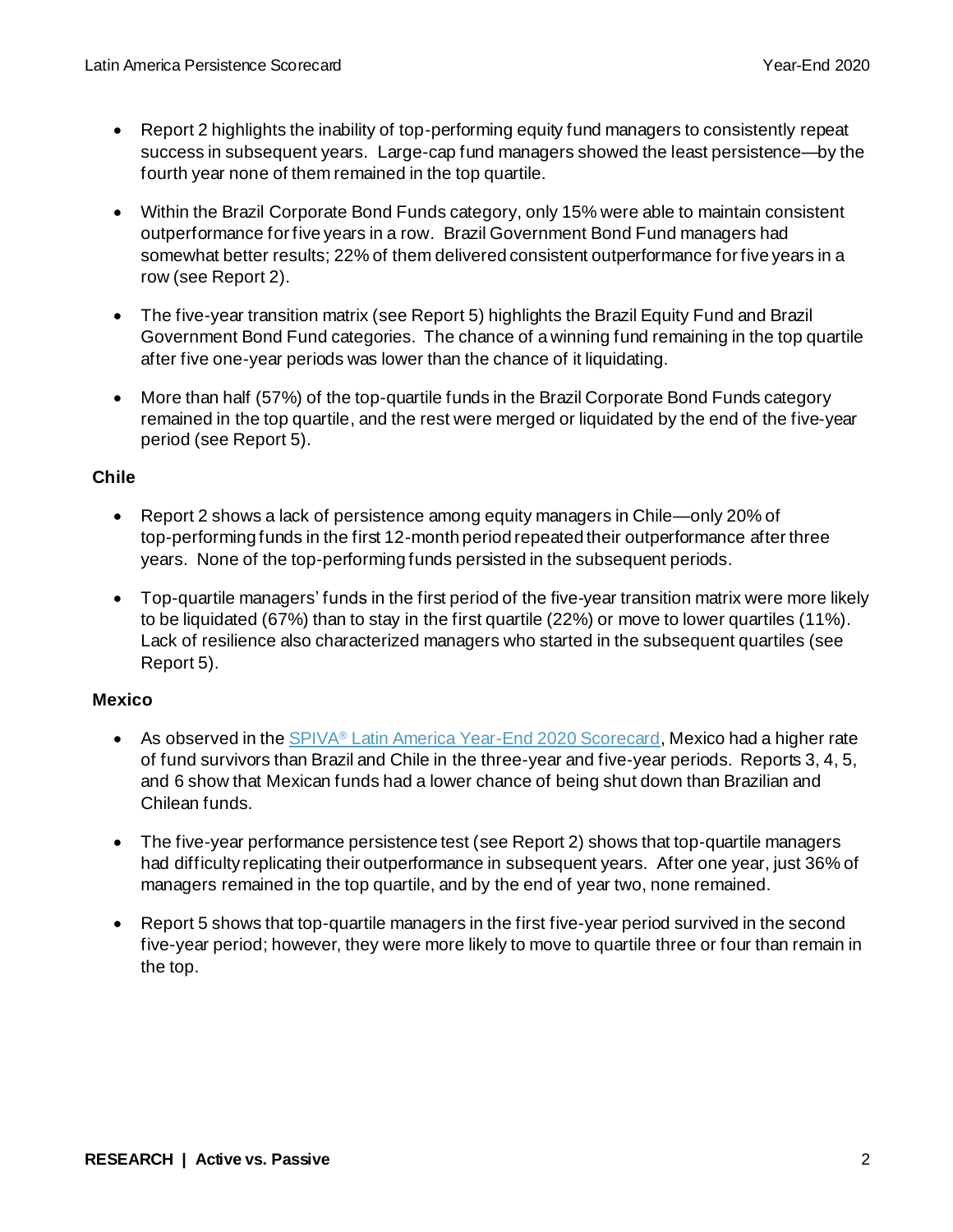- Report 2 highlights the inability of top-performing equity fund managers to consistently repeat success in subsequent years. Large-cap fund managers showed the least persistence—by the fourth year none of them remained in the top quartile.
- Within the Brazil Corporate Bond Funds category, only 15% were able to maintain consistent outperformance for five years in a row. Brazil Government Bond Fund managers had somewhat better results; 22% of them delivered consistent outperformance for five years in a row (see Report 2).
- The five-year transition matrix (see Report 5) highlights the Brazil Equity Fund and Brazil Government Bond Fund categories. The chance of a winning fund remaining in the top quartile after five one-year periods was lower than the chance of it liquidating.
- More than half (57%) of the top-quartile funds in the Brazil Corporate Bond Funds category remained in the top quartile, and the rest were merged or liquidated by the end of the five-year period (see Report 5).

#### **Chile**

- Report 2 shows a lack of persistence among equity managers in Chile—only 20% of top-performing funds in the first 12-month period repeated their outperformance after three years. None of the top-performing funds persisted in the subsequent periods.
- Top-quartile managers' funds in the first period of the five-year transition matrix were more likely to be liquidated (67%) than to stay in the first quartile (22%) or move to lower quartiles (11%). Lack of resilience also characterized managers who started in the subsequent quartiles (see Report 5).

#### **Mexico**

- As observed in the SPIVA® [Latin America Year-End 2020 Scorecard,](https://www.spglobal.com/spdji/en/documents/spiva/spiva-latin-america-scorecard-year-end-2020.pdf) Mexico had a higher rate of fund survivors than Brazil and Chile in the three-year and five-year periods. Reports 3, 4, 5, and 6 show that Mexican funds had a lower chance of being shut down than Brazilian and Chilean funds.
- The five-year performance persistence test (see Report 2) shows that top-quartile managers had difficulty replicating their outperformance in subsequent years. After one year, just 36% of managers remained in the top quartile, and by the end of year two, none remained.
- Report 5 shows that top-quartile managers in the first five-year period survived in the second five-year period; however, they were more likely to move to quartile three or four than remain in the top.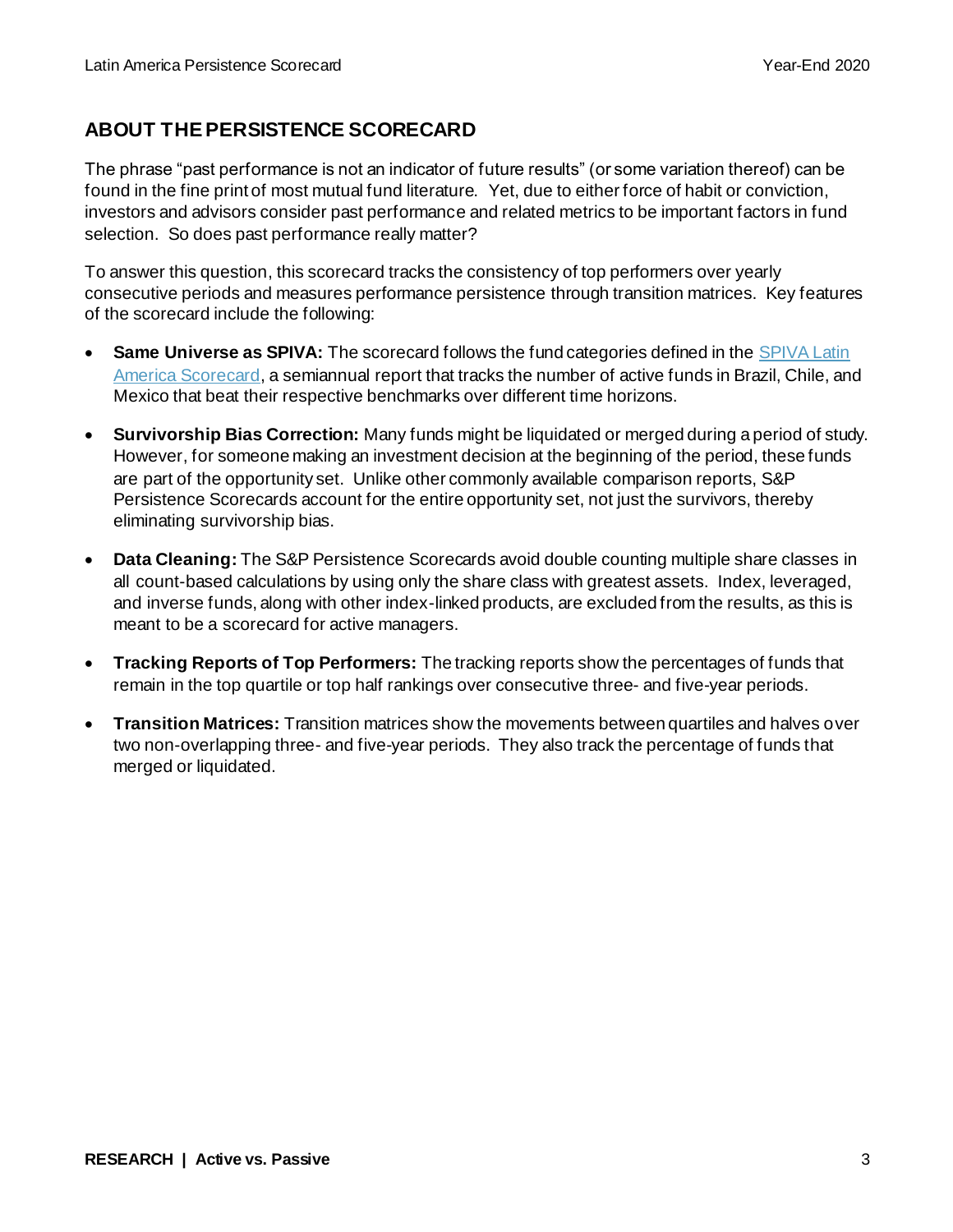## **ABOUT THE PERSISTENCE SCORECARD**

The phrase "past performance is not an indicator of future results" (or some variation thereof) can be found in the fine print of most mutual fund literature. Yet, due to either force of habit or conviction, investors and advisors consider past performance and related metrics to be important factors in fund selection. So does past performance really matter?

To answer this question, this scorecard tracks the consistency of top performers over yearly consecutive periods and measures performance persistence through transition matrices. Key features of the scorecard include the following:

- **Same Universe as SPIVA:** The scorecard follows the fund categories defined in the SPIVA Latin [America Scorecard,](https://www.spglobal.com/spdji/en/spiva/article/spiva-latin-america) a semiannual report that tracks the number of active funds in Brazil, Chile, and Mexico that beat their respective benchmarks over different time horizons.
- **Survivorship Bias Correction:** Many funds might be liquidated or merged during a period of study. However, for someone making an investment decision at the beginning of the period, these funds are part of the opportunity set. Unlike other commonly available comparison reports, S&P Persistence Scorecards account for the entire opportunity set, not just the survivors, thereby eliminating survivorship bias.
- **Data Cleaning:** The S&P Persistence Scorecards avoid double counting multiple share classes in all count-based calculations by using only the share class with greatest assets. Index, leveraged, and inverse funds, along with other index-linked products, are excluded from the results, as this is meant to be a scorecard for active managers.
- **Tracking Reports of Top Performers:** The tracking reports show the percentages of funds that remain in the top quartile or top half rankings over consecutive three- and five-year periods.
- **Transition Matrices:** Transition matrices show the movements between quartiles and halves over two non-overlapping three- and five-year periods. They also track the percentage of funds that merged or liquidated.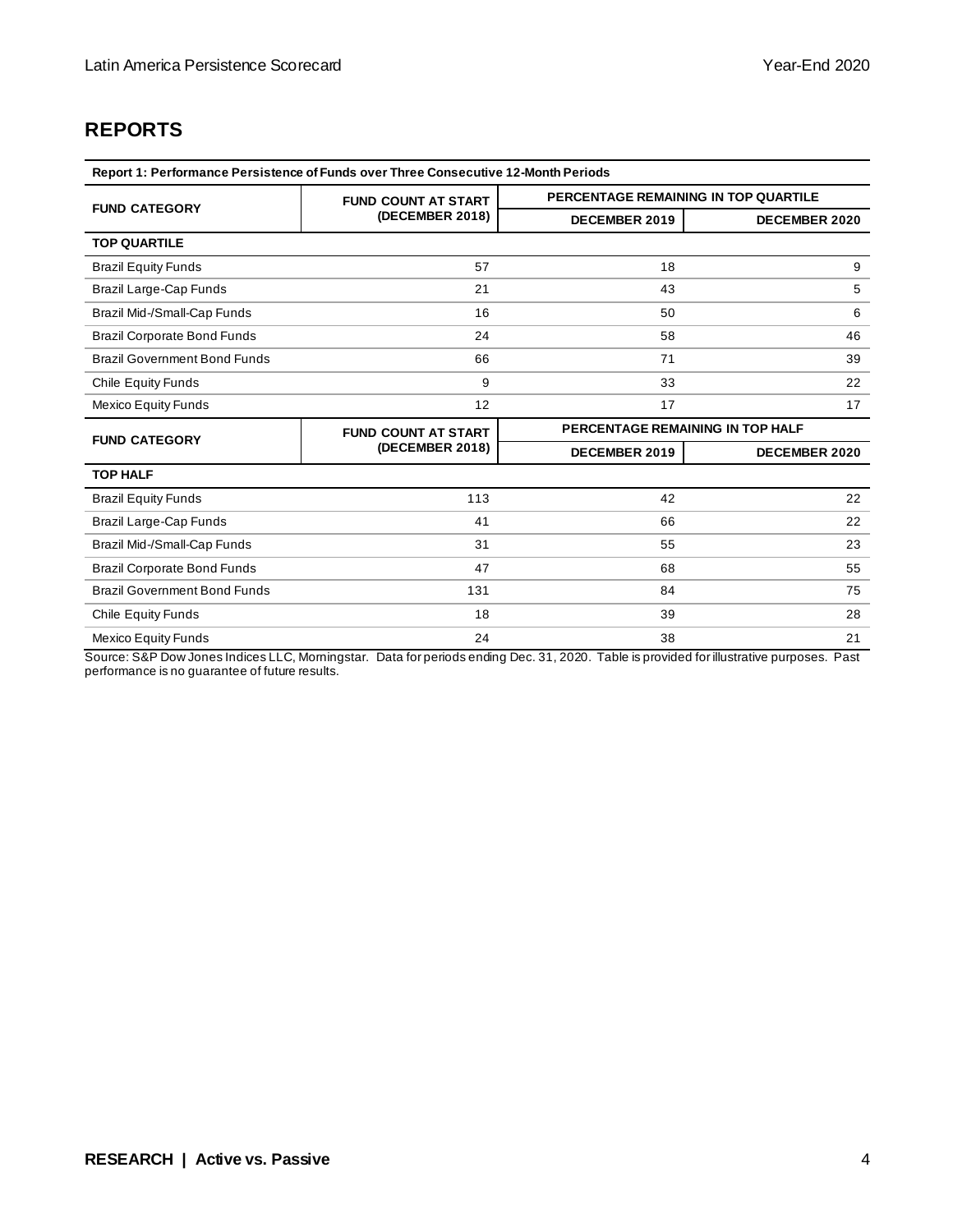## **REPORTS**

| Report 1: Performance Persistence of Funds over Three Consecutive 12-Month Periods |                            |                                      |                      |  |  |  |
|------------------------------------------------------------------------------------|----------------------------|--------------------------------------|----------------------|--|--|--|
| <b>FUND CATEGORY</b>                                                               | <b>FUND COUNT AT START</b> | PERCENTAGE REMAINING IN TOP QUARTILE |                      |  |  |  |
|                                                                                    | (DECEMBER 2018)            | DECEMBER 2019                        | <b>DECEMBER 2020</b> |  |  |  |
| <b>TOP QUARTILE</b>                                                                |                            |                                      |                      |  |  |  |
| <b>Brazil Equity Funds</b>                                                         | 57                         | 18                                   | 9                    |  |  |  |
| Brazil Large-Cap Funds                                                             | 21                         | 43                                   | 5                    |  |  |  |
| Brazil Mid-/Small-Cap Funds                                                        | 16                         | 50                                   | 6                    |  |  |  |
| <b>Brazil Corporate Bond Funds</b>                                                 | 24                         | 58                                   | 46                   |  |  |  |
| <b>Brazil Government Bond Funds</b>                                                | 66                         | 71                                   | 39                   |  |  |  |
| Chile Equity Funds                                                                 | 9                          | 33                                   | 22                   |  |  |  |
| <b>Mexico Equity Funds</b>                                                         | 12                         | 17                                   | 17                   |  |  |  |
| <b>FUND CATEGORY</b>                                                               | <b>FUND COUNT AT START</b> | PERCENTAGE REMAINING IN TOP HALF     |                      |  |  |  |
|                                                                                    | (DECEMBER 2018)            | DECEMBER 2019                        | <b>DECEMBER 2020</b> |  |  |  |
| <b>TOP HALF</b>                                                                    |                            |                                      |                      |  |  |  |
| <b>Brazil Equity Funds</b>                                                         | 113                        | 42                                   | 22                   |  |  |  |
| Brazil Large-Cap Funds                                                             | 41                         | 66                                   | 22                   |  |  |  |
| Brazil Mid-/Small-Cap Funds                                                        | 31                         | 55                                   | 23                   |  |  |  |
| <b>Brazil Corporate Bond Funds</b>                                                 | 47                         | 68                                   | 55                   |  |  |  |
| <b>Brazil Government Bond Funds</b>                                                | 131                        | 84                                   | 75                   |  |  |  |
| Chile Equity Funds                                                                 | 18                         | 39                                   | 28                   |  |  |  |
| <b>Mexico Equity Funds</b>                                                         | 24                         | 38                                   | 21                   |  |  |  |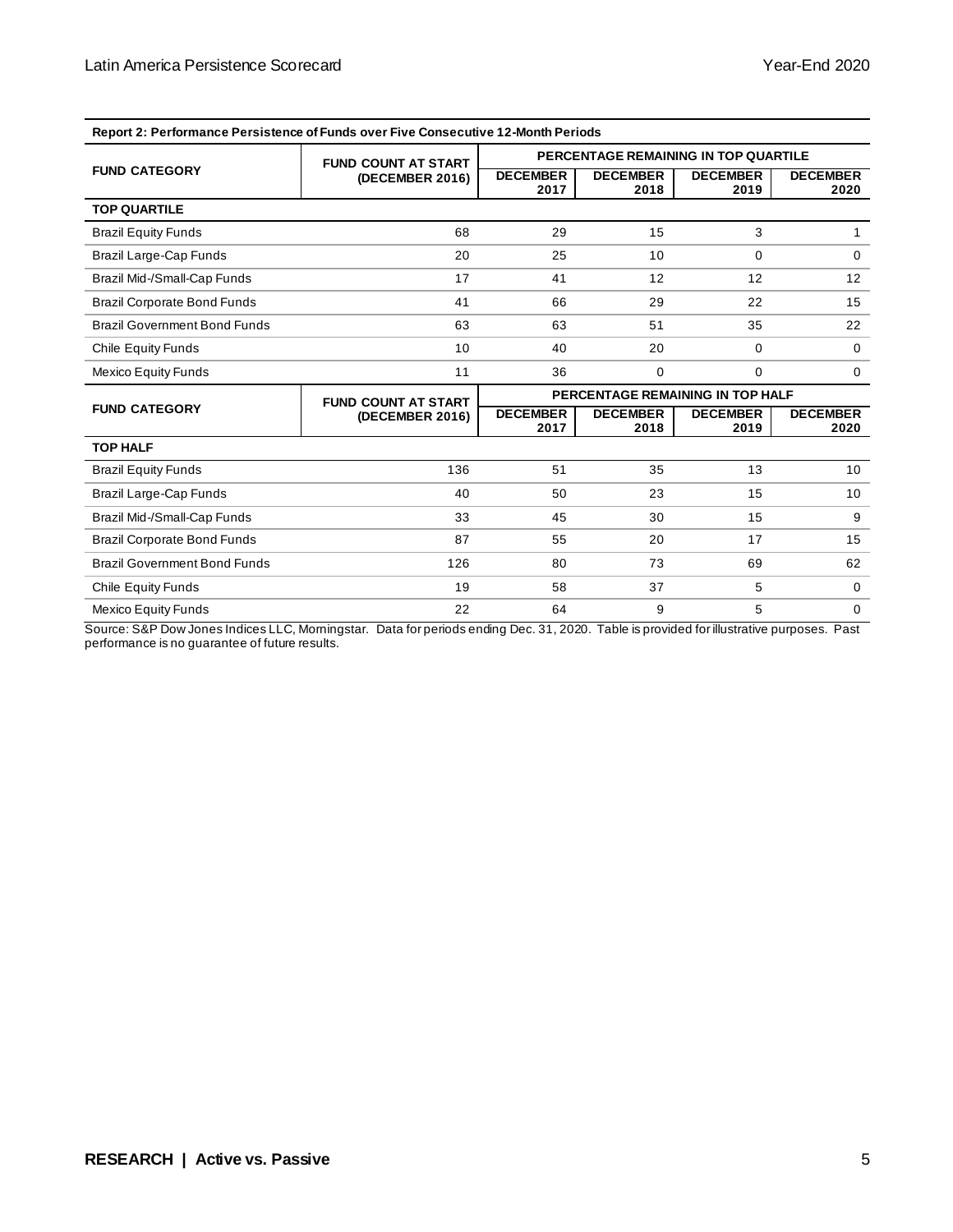| Report 2: Performance Persistence of Funds over Five Consecutive 12-Month Periods |                            |                                      |                         |                         |                         |
|-----------------------------------------------------------------------------------|----------------------------|--------------------------------------|-------------------------|-------------------------|-------------------------|
|                                                                                   | <b>FUND COUNT AT START</b> | PERCENTAGE REMAINING IN TOP QUARTILE |                         |                         |                         |
| <b>FUND CATEGORY</b>                                                              | (DECEMBER 2016)            | <b>DECEMBER</b><br>2017              | <b>DECEMBER</b><br>2018 | <b>DECEMBER</b><br>2019 | <b>DECEMBER</b><br>2020 |
| <b>TOP QUARTILE</b>                                                               |                            |                                      |                         |                         |                         |
| <b>Brazil Equity Funds</b>                                                        | 68                         | 29                                   | 15                      | 3                       | 1.                      |
| Brazil Large-Cap Funds                                                            | 20                         | 25                                   | 10                      | 0                       | $\Omega$                |
| Brazil Mid-/Small-Cap Funds                                                       | 17                         | 41                                   | 12                      | 12                      | 12                      |
| <b>Brazil Corporate Bond Funds</b>                                                | 41                         | 66                                   | 29                      | 22                      | 15                      |
| <b>Brazil Government Bond Funds</b>                                               | 63                         | 63                                   | 51                      | 35                      | 22                      |
| <b>Chile Equity Funds</b>                                                         | 10                         | 40                                   | 20                      | 0                       | $\Omega$                |
| <b>Mexico Equity Funds</b>                                                        | 11                         | 36                                   | $\Omega$                | 0                       | $\Omega$                |
|                                                                                   | <b>FUND COUNT AT START</b> | PERCENTAGE REMAINING IN TOP HALF     |                         |                         |                         |
| <b>FUND CATEGORY</b>                                                              | (DECEMBER 2016)            | <b>DECEMBER</b><br>2017              | <b>DECEMBER</b><br>2018 | <b>DECEMBER</b><br>2019 | <b>DECEMBER</b><br>2020 |
| <b>TOP HALF</b>                                                                   |                            |                                      |                         |                         |                         |
| <b>Brazil Equity Funds</b>                                                        | 136                        | 51                                   | 35                      | 13                      | 10                      |
| Brazil Large-Cap Funds                                                            | 40                         | 50                                   | 23                      | 15                      | 10                      |
| Brazil Mid-/Small-Cap Funds                                                       | 33                         | 45                                   | 30                      | 15                      | 9                       |
| <b>Brazil Corporate Bond Funds</b>                                                | 87                         | 55                                   | 20                      | 17                      | 15                      |
| <b>Brazil Government Bond Funds</b>                                               | 126                        | 80                                   | 73                      | 69                      | 62                      |
| <b>Chile Equity Funds</b>                                                         | 19                         | 58                                   | 37                      | 5                       | $\Omega$                |
| <b>Mexico Equity Funds</b>                                                        | 22                         | 64                                   | 9                       | 5                       | $\mathbf 0$             |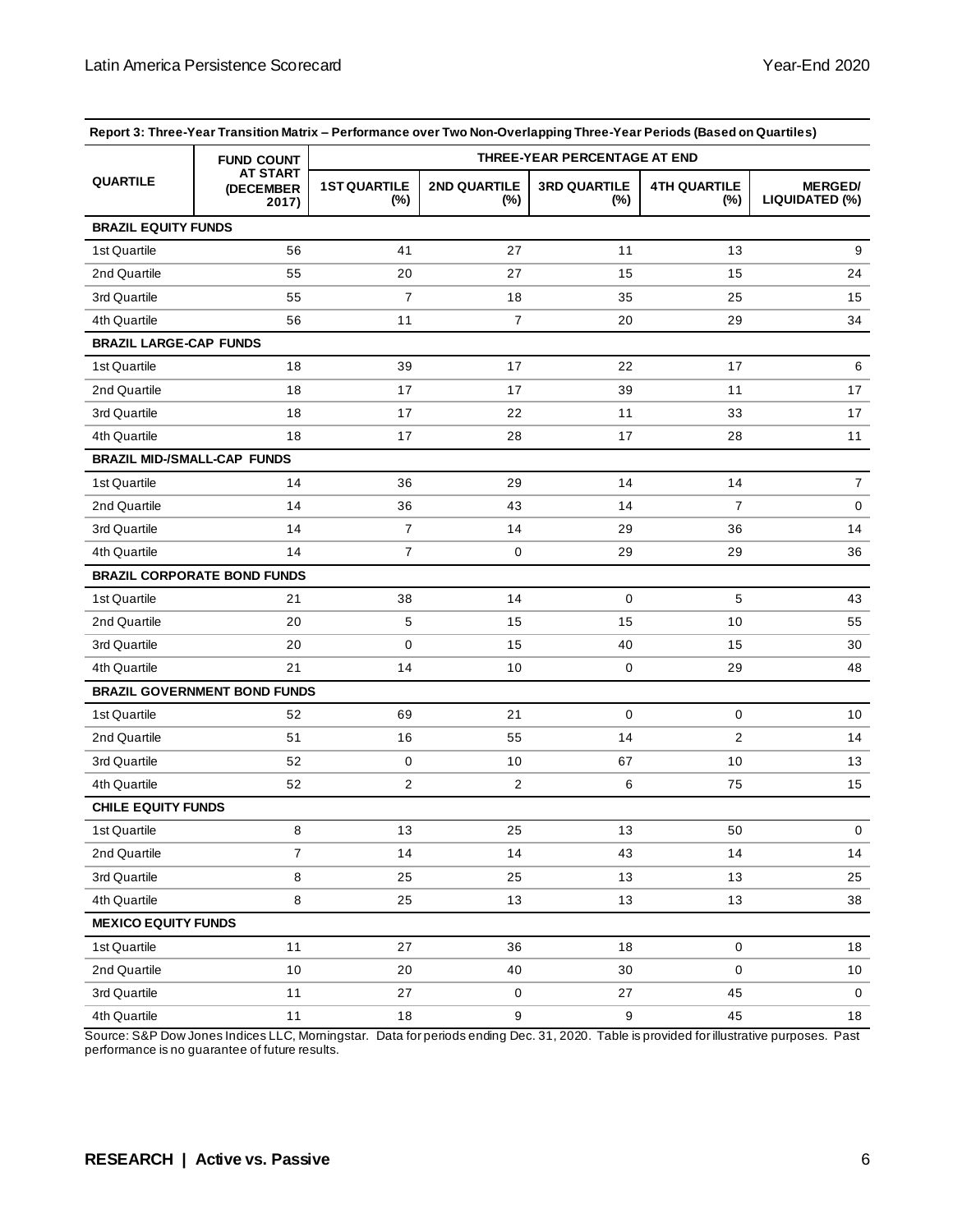|                               | <b>FUND COUNT</b>                     | THREE-YEAR PERCENTAGE AT END |                            |                               |                               |                                  |  |
|-------------------------------|---------------------------------------|------------------------------|----------------------------|-------------------------------|-------------------------------|----------------------------------|--|
| <b>QUARTILE</b>               | <b>AT START</b><br>(DECEMBER<br>2017) | <b>1ST QUARTILE</b><br>(%)   | <b>2ND QUARTILE</b><br>(%) | <b>3RD QUARTILE</b><br>$(\%)$ | <b>4TH QUARTILE</b><br>$(\%)$ | <b>MERGED/</b><br>LIQUIDATED (%) |  |
| <b>BRAZIL EQUITY FUNDS</b>    |                                       |                              |                            |                               |                               |                                  |  |
| 1st Quartile                  | 56                                    | 41                           | 27                         | 11                            | 13                            | 9                                |  |
| 2nd Quartile                  | 55                                    | 20                           | 27                         | 15                            | 15                            | 24                               |  |
| 3rd Quartile                  | 55                                    | 7                            | 18                         | 35                            | 25                            | 15                               |  |
| 4th Quartile                  | 56                                    | 11                           | 7                          | 20                            | 29                            | 34                               |  |
| <b>BRAZIL LARGE-CAP FUNDS</b> |                                       |                              |                            |                               |                               |                                  |  |
| 1st Quartile                  | 18                                    | 39                           | 17                         | 22                            | 17                            | 6                                |  |
| 2nd Quartile                  | 18                                    | 17                           | 17                         | 39                            | 11                            | 17                               |  |
| 3rd Quartile                  | 18                                    | 17                           | 22                         | 11                            | 33                            | 17                               |  |
| 4th Quartile                  | 18                                    | 17                           | 28                         | 17                            | 28                            | 11                               |  |
|                               | <b>BRAZIL MID-/SMALL-CAP FUNDS</b>    |                              |                            |                               |                               |                                  |  |
| 1st Quartile                  | 14                                    | 36                           | 29                         | 14                            | 14                            | $\overline{7}$                   |  |
| 2nd Quartile                  | 14                                    | 36                           | 43                         | 14                            | $\overline{7}$                | 0                                |  |
| 3rd Quartile                  | 14                                    | $\overline{7}$               | 14                         | 29                            | 36                            | 14                               |  |
| 4th Quartile                  | 14                                    | 7                            | 0                          | 29                            | 29                            | 36                               |  |
|                               | <b>BRAZIL CORPORATE BOND FUNDS</b>    |                              |                            |                               |                               |                                  |  |
| 1st Quartile                  | 21                                    | 38                           | 14                         | 0                             | 5                             | 43                               |  |
| 2nd Quartile                  | 20                                    | 5                            | 15                         | 15                            | 10                            | 55                               |  |
| 3rd Quartile                  | 20                                    | 0                            | 15                         | 40                            | 15                            | 30                               |  |
| 4th Quartile                  | 21                                    | 14                           | 10                         | 0                             | 29                            | 48                               |  |
|                               | <b>BRAZIL GOVERNMENT BOND FUNDS</b>   |                              |                            |                               |                               |                                  |  |
| 1st Quartile                  | 52                                    | 69                           | 21                         | $\mathbf 0$                   | 0                             | 10                               |  |
| 2nd Quartile                  | 51                                    | 16                           | 55                         | 14                            | 2                             | 14                               |  |
| 3rd Quartile                  | 52                                    | 0                            | 10                         | 67                            | 10                            | 13                               |  |
| 4th Quartile                  | 52                                    | 2                            | 2                          | 6                             | 75                            | 15                               |  |
| <b>CHILE EQUITY FUNDS</b>     |                                       |                              |                            |                               |                               |                                  |  |
| 1st Quartile                  | 8                                     | 13                           | 25                         | 13                            | 50                            | 0                                |  |
| 2nd Quartile                  | $\overline{7}$                        | 14                           | 14                         | 43                            | 14                            | 14                               |  |
| 3rd Quartile                  | 8                                     | 25                           | 25                         | 13                            | 13                            | 25                               |  |
| 4th Quartile                  | 8                                     | 25                           | 13                         | 13                            | 13                            | 38                               |  |
| <b>MEXICO EQUITY FUNDS</b>    |                                       |                              |                            |                               |                               |                                  |  |
| 1st Quartile                  | 11                                    | 27                           | 36                         | 18                            | $\mathbf 0$                   | 18                               |  |
| 2nd Quartile                  | 10                                    | 20                           | 40                         | 30                            | 0                             | 10                               |  |
| 3rd Quartile                  | 11                                    | 27                           | 0                          | 27                            | 45                            | 0                                |  |
| 4th Quartile                  | 11                                    | 18                           | 9                          | 9                             | 45                            | 18                               |  |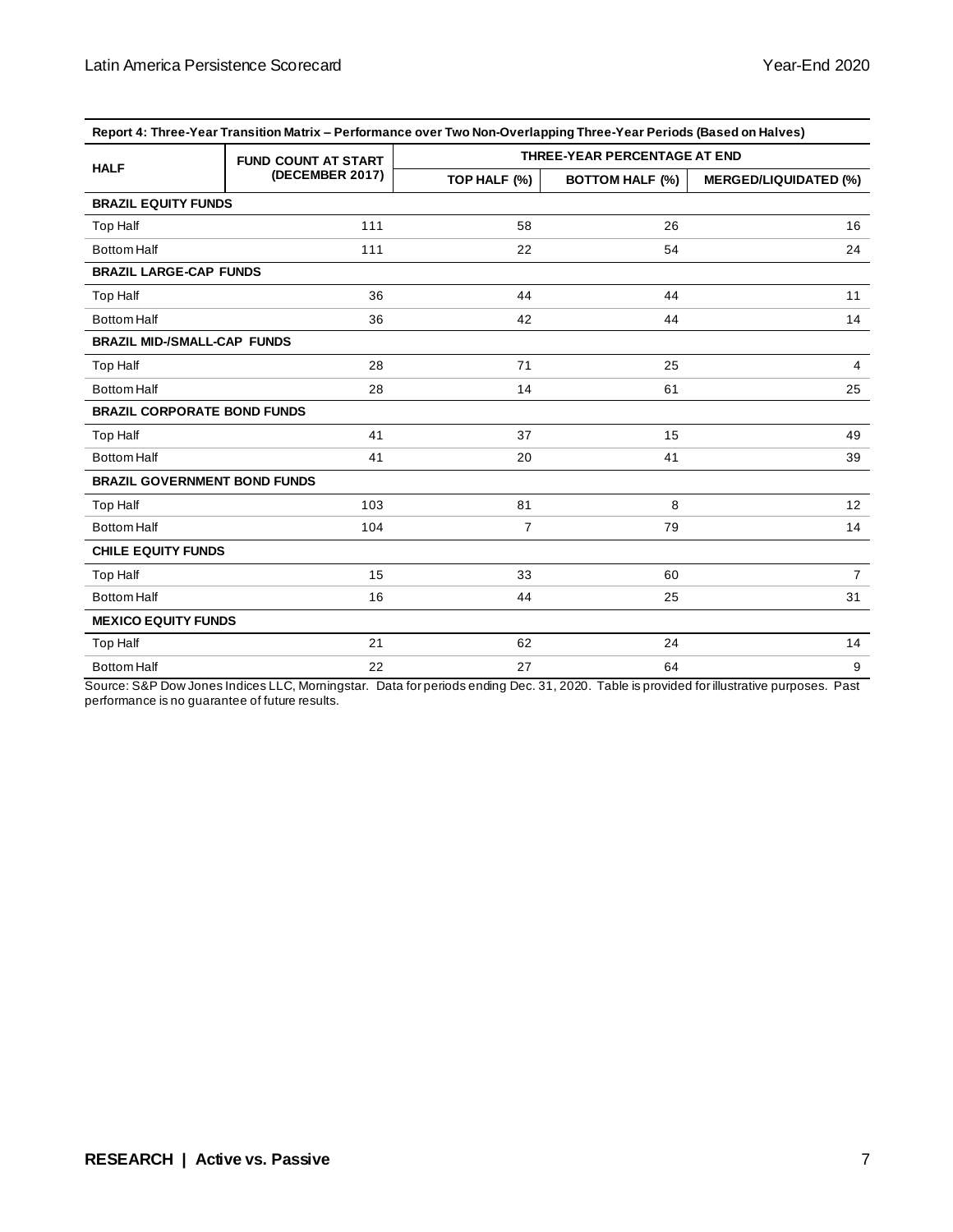| Report 4: Three-Year Transition Matrix - Performance over Two Non-Overlapping Three-Year Periods (Based on Halves) |                            |                              |                        |                              |  |
|--------------------------------------------------------------------------------------------------------------------|----------------------------|------------------------------|------------------------|------------------------------|--|
| <b>HALF</b>                                                                                                        | <b>FUND COUNT AT START</b> | THREE-YEAR PERCENTAGE AT END |                        |                              |  |
|                                                                                                                    | (DECEMBER 2017)            | TOP HALF (%)                 | <b>BOTTOM HALF (%)</b> | <b>MERGED/LIQUIDATED (%)</b> |  |
| <b>BRAZIL EQUITY FUNDS</b>                                                                                         |                            |                              |                        |                              |  |
| Top Half                                                                                                           | 111                        | 58                           | 26                     | 16                           |  |
| <b>Bottom Half</b>                                                                                                 | 111                        | 22                           | 54                     | 24                           |  |
| <b>BRAZIL LARGE-CAP FUNDS</b>                                                                                      |                            |                              |                        |                              |  |
| Top Half                                                                                                           | 36                         | 44                           | 44                     | 11                           |  |
| <b>Bottom Half</b>                                                                                                 | 36                         | 42                           | 44                     | 14                           |  |
| <b>BRAZIL MID-/SMALL-CAP FUNDS</b>                                                                                 |                            |                              |                        |                              |  |
| <b>Top Half</b>                                                                                                    | 28                         | 71                           | 25                     | 4                            |  |
| <b>Bottom Half</b>                                                                                                 | 28                         | 14                           | 61                     | 25                           |  |
| <b>BRAZIL CORPORATE BOND FUNDS</b>                                                                                 |                            |                              |                        |                              |  |
| Top Half                                                                                                           | 41                         | 37                           | 15                     | 49                           |  |
| <b>Bottom Half</b>                                                                                                 | 41                         | 20                           | 41                     | 39                           |  |
| <b>BRAZIL GOVERNMENT BOND FUNDS</b>                                                                                |                            |                              |                        |                              |  |
| <b>Top Half</b>                                                                                                    | 103                        | 81                           | 8                      | 12                           |  |
| <b>Bottom Half</b>                                                                                                 | 104                        | $\overline{7}$               | 79                     | 14                           |  |
| <b>CHILE EQUITY FUNDS</b>                                                                                          |                            |                              |                        |                              |  |
| Top Half                                                                                                           | 15                         | 33                           | 60                     | $\overline{7}$               |  |
| <b>Bottom Half</b>                                                                                                 | 16                         | 44                           | 25                     | 31                           |  |
| <b>MEXICO EQUITY FUNDS</b>                                                                                         |                            |                              |                        |                              |  |
| <b>Top Half</b>                                                                                                    | 21                         | 62                           | 24                     | 14                           |  |
| <b>Bottom Half</b>                                                                                                 | 22                         | 27                           | 64                     | 9                            |  |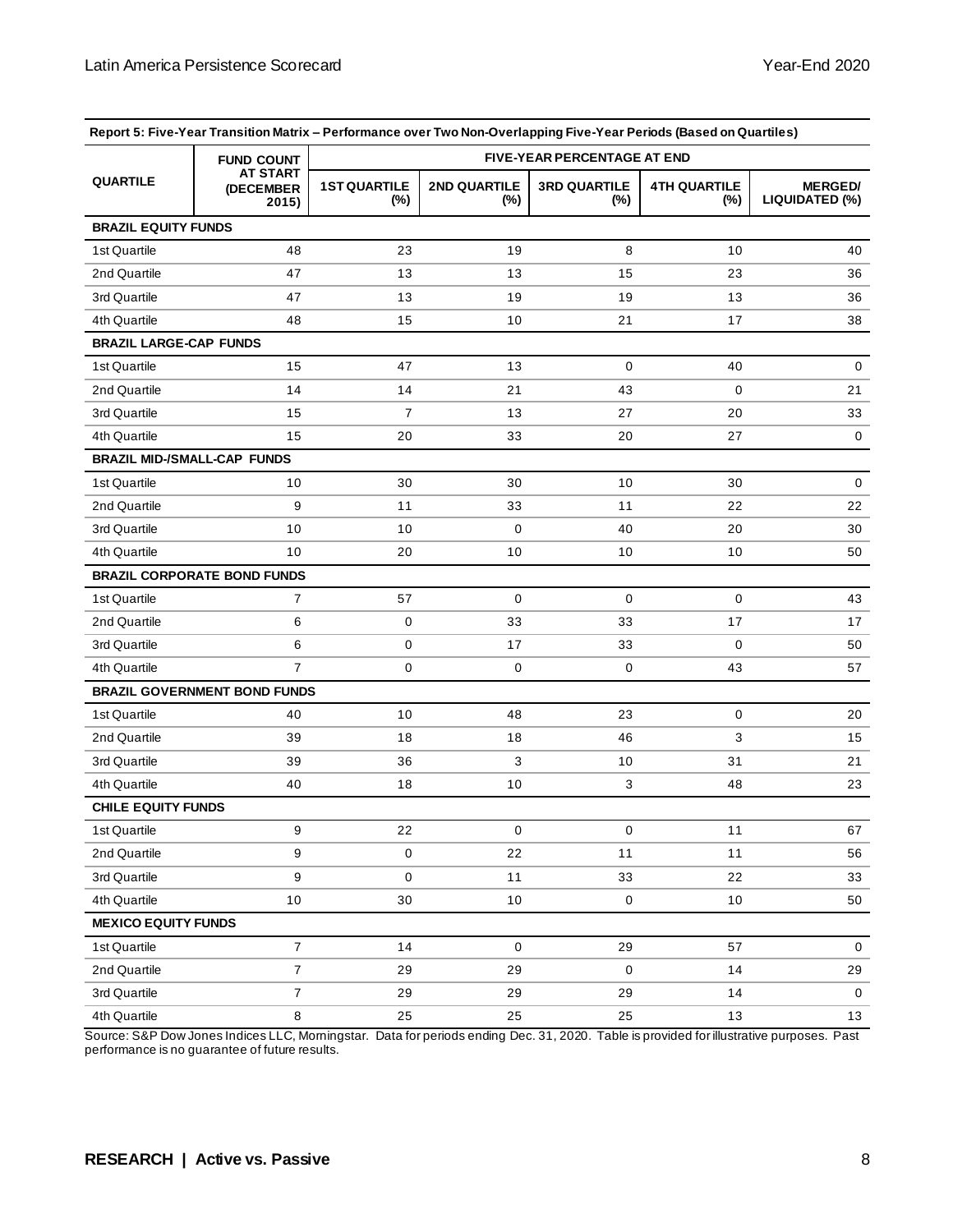| Report 5: Five-Year Transition Matrix - Performance over Two Non-Overlapping Five-Year Periods (Based on Quartiles) |                                       |                                    |                     |                            |                               |                                  |
|---------------------------------------------------------------------------------------------------------------------|---------------------------------------|------------------------------------|---------------------|----------------------------|-------------------------------|----------------------------------|
|                                                                                                                     | <b>FUND COUNT</b>                     | <b>FIVE-YEAR PERCENTAGE AT END</b> |                     |                            |                               |                                  |
| <b>QUARTILE</b>                                                                                                     | <b>AT START</b><br>(DECEMBER<br>2015) |                                    | 2ND QUARTILE<br>(%) | <b>3RD QUARTILE</b><br>(%) | <b>4TH QUARTILE</b><br>$(\%)$ | <b>MERGED/</b><br>LIQUIDATED (%) |
| <b>BRAZIL EQUITY FUNDS</b>                                                                                          |                                       |                                    |                     |                            |                               |                                  |
| 1st Quartile                                                                                                        | 48                                    | 23                                 | 19                  | 8                          | 10                            | 40                               |
| 2nd Quartile                                                                                                        | 47                                    | 13                                 | 13                  | 15                         | 23                            | 36                               |
| 3rd Quartile                                                                                                        | 47                                    | 13                                 | 19                  | 19                         | 13                            | 36                               |
| 4th Quartile                                                                                                        | 48                                    | 15                                 | 10                  | 21                         | 17                            | 38                               |
| <b>BRAZIL LARGE-CAP FUNDS</b>                                                                                       |                                       |                                    |                     |                            |                               |                                  |
| 1st Quartile                                                                                                        | 15                                    | 47                                 | 13                  | $\mathbf 0$                | 40                            | $\mathbf 0$                      |
| 2nd Quartile                                                                                                        | 14                                    | 14                                 | 21                  | 43                         | 0                             | 21                               |
| 3rd Quartile                                                                                                        | 15                                    | 7                                  | 13                  | 27                         | 20                            | 33                               |
| 4th Quartile                                                                                                        | 15                                    | 20                                 | 33                  | 20                         | 27                            | $\mathbf 0$                      |
|                                                                                                                     | <b>BRAZIL MID-/SMALL-CAP FUNDS</b>    |                                    |                     |                            |                               |                                  |
| 1st Quartile                                                                                                        | 10                                    | 30                                 | 30                  | 10                         | 30                            | 0                                |
| 2nd Quartile                                                                                                        | 9                                     | 11                                 | 33                  | 11                         | 22                            | 22                               |
| 3rd Quartile                                                                                                        | 10                                    | 10                                 | 0                   | 40                         | 20                            | 30                               |
| 4th Quartile                                                                                                        | 10                                    | 20                                 | 10                  | 10                         | 10                            | 50                               |
|                                                                                                                     | <b>BRAZIL CORPORATE BOND FUNDS</b>    |                                    |                     |                            |                               |                                  |
| 1st Quartile                                                                                                        | $\overline{7}$                        | 57                                 | 0                   | 0                          | 0                             | 43                               |
| 2nd Quartile                                                                                                        | 6                                     | 0                                  | 33                  | 33                         | 17                            | 17                               |
| 3rd Quartile                                                                                                        | 6                                     | 0                                  | 17                  | 33                         | 0                             | 50                               |
| 4th Quartile                                                                                                        | $\overline{7}$                        | 0                                  | 0                   | 0                          | 43                            | 57                               |
| <b>BRAZIL GOVERNMENT BOND FUNDS</b>                                                                                 |                                       |                                    |                     |                            |                               |                                  |
| 1st Quartile                                                                                                        | 40                                    | 10                                 | 48                  | 23                         | 0                             | 20                               |
| 2nd Quartile                                                                                                        | 39                                    | 18                                 | 18                  | 46                         | 3                             | 15                               |
| 3rd Quartile                                                                                                        | 39                                    | 36                                 | 3                   | 10                         | 31                            | 21                               |
| 4th Quartile                                                                                                        | 40                                    | 18                                 | 10                  | 3                          | 48                            | 23                               |
| <b>CHILE EQUITY FUNDS</b>                                                                                           |                                       |                                    |                     |                            |                               |                                  |
| 1st Quartile                                                                                                        | 9                                     | 22                                 | $\pmb{0}$           | 0                          | 11                            | 67                               |
| 2nd Quartile                                                                                                        | 9                                     | $\mathsf 0$                        | 22                  | 11                         | 11                            | 56                               |
| 3rd Quartile                                                                                                        | 9                                     | $\mathbf 0$                        | 11                  | 33                         | 22                            | 33                               |
| 4th Quartile                                                                                                        | $10$                                  | 30                                 | 10                  | $\mathbf 0$                | $10$                          | 50                               |
| <b>MEXICO EQUITY FUNDS</b>                                                                                          |                                       |                                    |                     |                            |                               |                                  |
| 1st Quartile                                                                                                        | $\overline{7}$                        | 14                                 | $\mathbf 0$         | 29                         | 57                            | 0                                |
| 2nd Quartile                                                                                                        | $\overline{7}$                        | 29                                 | 29                  | $\mathbf 0$                | 14                            | 29                               |
| 3rd Quartile                                                                                                        | $\overline{7}$                        | 29                                 | 29                  | 29                         | 14                            | 0                                |
| 4th Quartile                                                                                                        | 8                                     | 25                                 | 25                  | 25                         | 13                            | 13                               |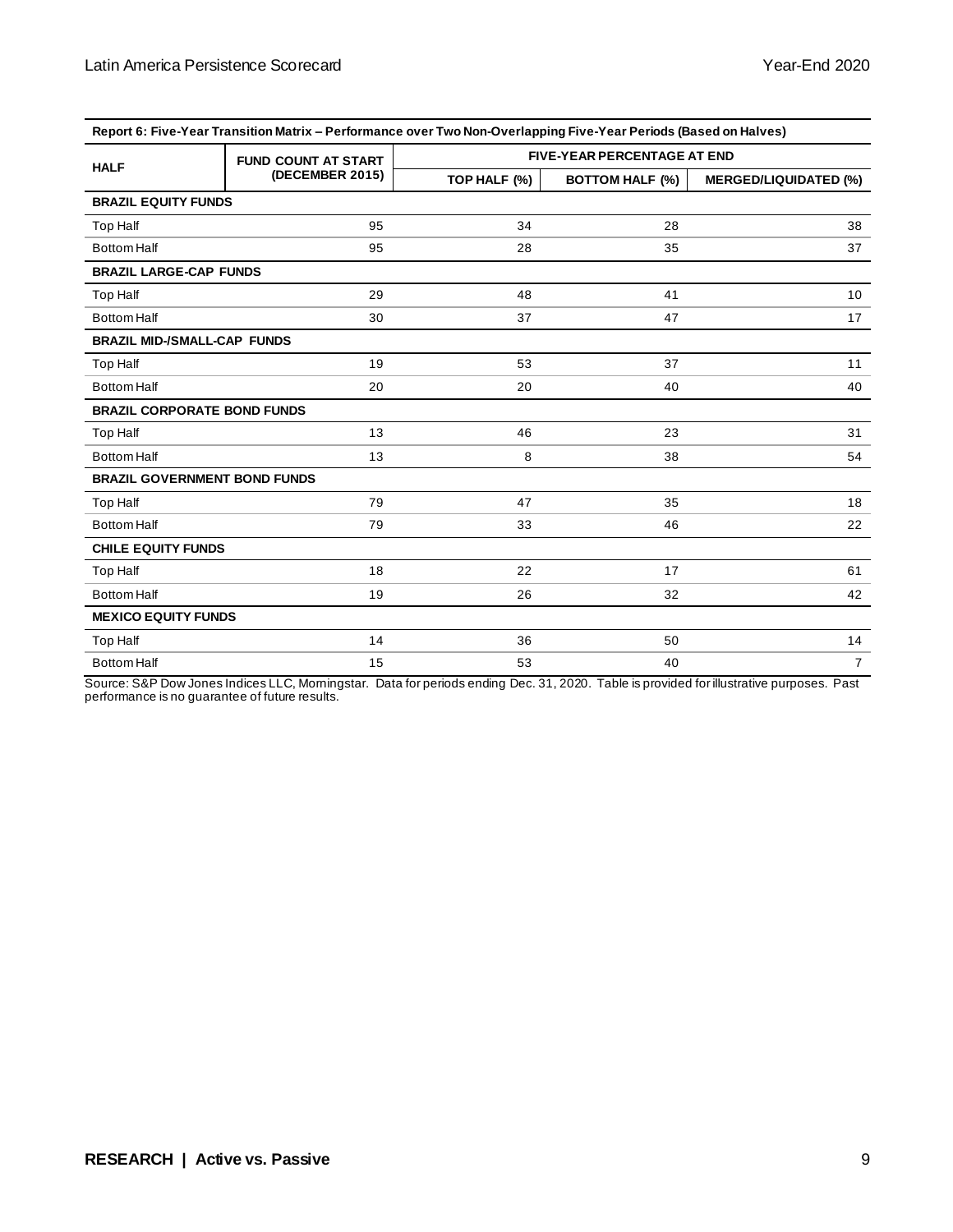| Report 6: Five-Year Transition Matrix – Performance over Two Non-Overlapping Five-Year Periods (Based on Halves) |                            |                                    |                        |                              |  |  |
|------------------------------------------------------------------------------------------------------------------|----------------------------|------------------------------------|------------------------|------------------------------|--|--|
| <b>HALF</b>                                                                                                      | <b>FUND COUNT AT START</b> | <b>FIVE-YEAR PERCENTAGE AT END</b> |                        |                              |  |  |
|                                                                                                                  | (DECEMBER 2015)            | TOP HALF (%)                       | <b>BOTTOM HALF (%)</b> | <b>MERGED/LIQUIDATED (%)</b> |  |  |
| <b>BRAZIL EQUITY FUNDS</b>                                                                                       |                            |                                    |                        |                              |  |  |
| <b>Top Half</b>                                                                                                  | 95                         | 34                                 | 28                     | 38                           |  |  |
| <b>Bottom Half</b>                                                                                               | 95                         | 28                                 | 35                     | 37                           |  |  |
| <b>BRAZIL LARGE-CAP FUNDS</b>                                                                                    |                            |                                    |                        |                              |  |  |
| <b>Top Half</b>                                                                                                  | 29                         | 48                                 | 41                     | 10 <sup>°</sup>              |  |  |
| <b>Bottom Half</b>                                                                                               | 30                         | 37                                 | 47                     | 17                           |  |  |
| <b>BRAZIL MID-/SMALL-CAP FUNDS</b>                                                                               |                            |                                    |                        |                              |  |  |
| <b>Top Half</b>                                                                                                  | 19                         | 53                                 | 37                     | 11                           |  |  |
| <b>Bottom Half</b>                                                                                               | 20                         | 20                                 | 40                     | 40                           |  |  |
| <b>BRAZIL CORPORATE BOND FUNDS</b>                                                                               |                            |                                    |                        |                              |  |  |
| Top Half                                                                                                         | 13                         | 46                                 | 23                     | 31                           |  |  |
| <b>Bottom Half</b>                                                                                               | 13                         | 8                                  | 38                     | 54                           |  |  |
| <b>BRAZIL GOVERNMENT BOND FUNDS</b>                                                                              |                            |                                    |                        |                              |  |  |
| <b>Top Half</b>                                                                                                  | 79                         | 47                                 | 35                     | 18                           |  |  |
| <b>Bottom Half</b>                                                                                               | 79                         | 33                                 | 46                     | 22                           |  |  |
| <b>CHILE EQUITY FUNDS</b>                                                                                        |                            |                                    |                        |                              |  |  |
| Top Half                                                                                                         | 18                         | 22                                 | 17                     | 61                           |  |  |
| <b>Bottom Half</b>                                                                                               | 19                         | 26                                 | 32                     | 42                           |  |  |
| <b>MEXICO EQUITY FUNDS</b>                                                                                       |                            |                                    |                        |                              |  |  |
| <b>Top Half</b>                                                                                                  | 14                         | 36                                 | 50                     | 14                           |  |  |
| <b>Bottom Half</b>                                                                                               | 15                         | 53                                 | 40                     | $\overline{7}$               |  |  |

**Report 6: Five-Year Transition Matrix – Performance over Two Non-Overlapping Five-Year Periods (Based on Halves)**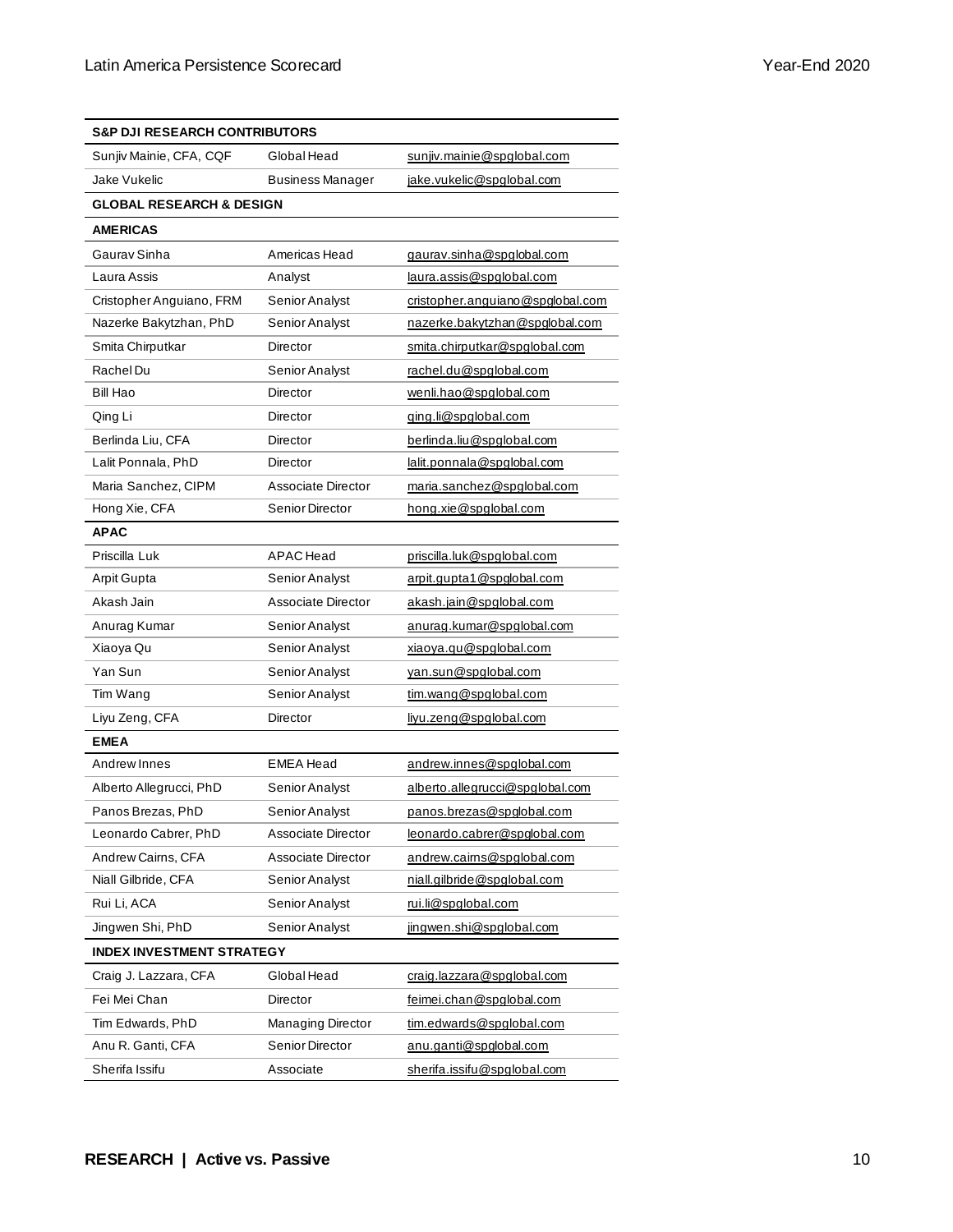| <b>S&amp;P DJI RESEARCH CONTRIBUTORS</b> |                           |                                  |  |  |
|------------------------------------------|---------------------------|----------------------------------|--|--|
| Sunjiv Mainie, CFA, CQF                  | Global Head               | sunjiv.mainie@spglobal.com       |  |  |
| Jake Vukelic                             | <b>Business Manager</b>   | jake.vukelic@spglobal.com        |  |  |
| <b>GLOBAL RESEARCH &amp; DESIGN</b>      |                           |                                  |  |  |
| <b>AMERICAS</b>                          |                           |                                  |  |  |
| Gaurav Sinha                             | Americas Head             | gaurav.sinha@spglobal.com        |  |  |
| Laura Assis                              | Analyst                   | <u>laura.assis@spqlobal.com</u>  |  |  |
| Cristopher Anguiano, FRM                 | Senior Analyst            | cristopher.anguiano@spglobal.com |  |  |
| Nazerke Bakytzhan, PhD                   | Senior Analyst            | nazerke.bakytzhan@spqlobal.com   |  |  |
| Smita Chirputkar                         | Director                  | smita.chirputkar@spglobal.com    |  |  |
| Rachel Du                                | Senior Analyst            | rachel.du@spglobal.com           |  |  |
| Bill Hao                                 | Director                  | wenli.hao@spglobal.com           |  |  |
| Qing Li                                  | Director                  | ging.li@spglobal.com             |  |  |
| Berlinda Liu, CFA                        | Director                  | berlinda.liu@spglobal.com        |  |  |
| Lalit Ponnala, PhD                       | Director                  | lalit.ponnala@spqlobal.com       |  |  |
| Maria Sanchez, CIPM                      | Associate Director        | maria.sanchez@spglobal.com       |  |  |
| Hong Xie, CFA                            | Senior Director           | hong.xie@spglobal.com            |  |  |
| <b>APAC</b>                              |                           |                                  |  |  |
| Priscilla Luk                            | <b>APAC</b> Head          | priscilla.luk@spglobal.com       |  |  |
| Arpit Gupta                              | Senior Analyst            | arpit.gupta1@spglobal.com        |  |  |
| Akash Jain                               | Associate Director        | akash.jain@spglobal.com          |  |  |
| Anurag Kumar                             | Senior Analyst            | anurag.kumar@spglobal.com        |  |  |
| Xiaoya Qu                                | Senior Analyst            | xiaoya.qu@spglobal.com           |  |  |
| Yan Sun                                  | Senior Analyst            | yan.sun@spglobal.com             |  |  |
| Tim Wang                                 | Senior Analyst            | tim.wang@spglobal.com            |  |  |
| Liyu Zeng, CFA                           | Director                  | livu.zeng@spglobal.com           |  |  |
| <b>EMEA</b>                              |                           |                                  |  |  |
| Andrew Innes                             | <b>EMEA Head</b>          | andrew.innes@spqlobal.com        |  |  |
| Alberto Allegrucci, PhD                  | Senior Analyst            | alberto.allegrucci@spglobal.com  |  |  |
| Panos Brezas. PhD                        | Senior Analyst            | panos.brezas@spqlobal.com        |  |  |
| Leonardo Cabrer, PhD                     | Associate Director        | leonardo.cabrer@spglobal.com     |  |  |
| Andrew Cairns, CFA                       | <b>Associate Director</b> | andrew.cairns@spqlobal.com       |  |  |
| Niall Gilbride, CFA                      | Senior Analyst            | niall.gilbride@spglobal.com      |  |  |
| Rui Li, ACA                              | Senior Analyst            | rui.li@spqlobal.com              |  |  |
| Jingwen Shi, PhD                         | Senior Analyst            | jingwen.shi@spglobal.com         |  |  |
| <b>INDEX INVESTMENT STRATEGY</b>         |                           |                                  |  |  |
| Craig J. Lazzara, CFA                    | Global Head               | craig.lazzara@spglobal.com       |  |  |
| Fei Mei Chan                             | Director                  | feimei.chan@spglobal.com         |  |  |
| Tim Edwards, PhD                         | Managing Director         | tim.edwards@spglobal.com         |  |  |
| Anu R. Ganti, CFA                        | Senior Director           | anu.ganti@spglobal.com           |  |  |
| Sherifa Issifu                           | Associate                 | sherifa.issifu@spqlobal.com      |  |  |